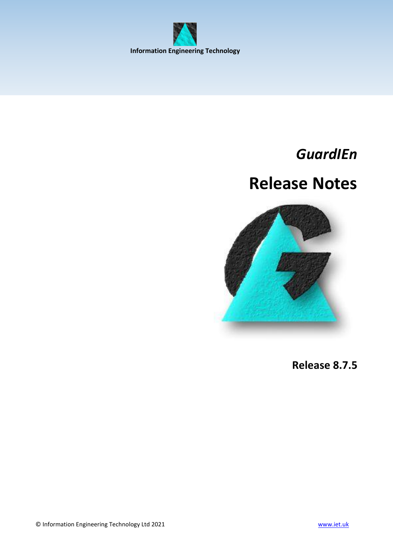<span id="page-0-0"></span>

# *GuardIEn*

# **Release Notes**



**Release 8.7.5**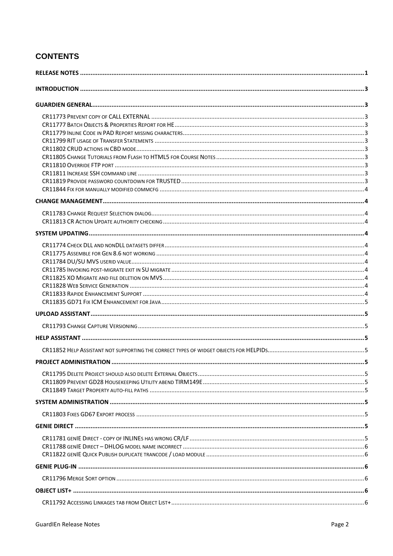# **CONTENTS**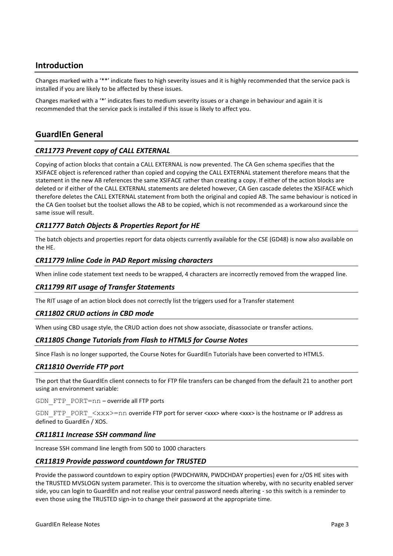# <span id="page-2-0"></span>**Introduction**

Changes marked with a '\*\*' indicate fixes to high severity issues and it is highly recommended that the service pack is installed if you are likely to be affected by these issues.

Changes marked with a '\*' indicates fixes to medium severity issues or a change in behaviour and again it is recommended that the service pack is installed if this issue is likely to affect you.

# <span id="page-2-1"></span>**GuardIEn General**

# <span id="page-2-2"></span>*CR11773 Prevent copy of CALL EXTERNAL*

Copying of action blocks that contain a CALL EXTERNAL is now prevented. The CA Gen schema specifies that the XSIFACE object is referenced rather than copied and copying the CALL EXTERNAL statement therefore means that the statement in the new AB references the same XSIFACE rather than creating a copy. If either of the action blocks are deleted or if either of the CALL EXTERNAL statements are deleted however, CA Gen cascade deletes the XSIFACE which therefore deletes the CALL EXTERNAL statement from both the original and copied AB. The same behaviour is noticed in the CA Gen toolset but the toolset allows the AB to be copied, which is not recommended as a workaround since the same issue will result.

# <span id="page-2-3"></span>*CR11777 Batch Objects & Properties Report for HE*

The batch objects and properties report for data objects currently available for the CSE (GD48) is now also available on the HE.

#### <span id="page-2-4"></span>*CR11779 Inline Code in PAD Report missing characters*

When inline code statement text needs to be wrapped, 4 characters are incorrectly removed from the wrapped line.

# <span id="page-2-5"></span>*CR11799 RIT usage of Transfer Statements*

The RIT usage of an action block does not correctly list the triggers used for a Transfer statement

# <span id="page-2-6"></span>*CR11802 CRUD actions in CBD mode*

When using CBD usage style, the CRUD action does not show associate, disassociate or transfer actions.

# <span id="page-2-7"></span>*CR11805 Change Tutorials from Flash to HTML5 for Course Notes*

Since Flash is no longer supported, the Course Notes for GuardIEn Tutorials have been converted to HTML5.

# <span id="page-2-8"></span>*CR11810 Override FTP port*

The port that the GuardIEn client connects to for FTP file transfers can be changed from the default 21 to another port using an environment variable:

GDN\_FTP\_PORT=nn – override all FTP ports

GDN\_FTP\_PORT\_<xxx>=nn override FTP port for server <xxx> where <xxx> is the hostname or IP address as defined to GuardIEn / XOS.

#### <span id="page-2-9"></span>*CR11811 Increase SSH command line*

Increase SSH command line length from 500 to 1000 characters

#### <span id="page-2-10"></span>*CR11819 Provide password countdown for TRUSTED*

Provide the password countdown to expiry option (PWDCHWRN, PWDCHDAY properties) even for z/OS HE sites with the TRUSTED MVSLOGN system parameter. This is to overcome the situation whereby, with no security enabled server side, you can login to GuardIEn and not realise your central password needs altering - so this switch is a reminder to even those using the TRUSTED sign-in to change their password at the appropriate time.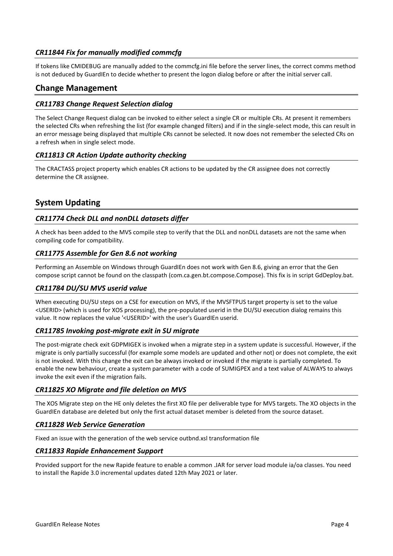# <span id="page-3-0"></span>*CR11844 Fix for manually modified commcfg*

If tokens like CMIDEBUG are manually added to the commcfg.ini file before the server lines, the correct comms method is not deduced by GuardIEn to decide whether to present the logon dialog before or after the initial server call.

# <span id="page-3-1"></span>**Change Management**

# <span id="page-3-2"></span>*CR11783 Change Request Selection dialog*

The Select Change Request dialog can be invoked to either select a single CR or multiple CRs. At present it remembers the selected CRs when refreshing the list (for example changed filters) and if in the single-select mode, this can result in an error message being displayed that multiple CRs cannot be selected. It now does not remember the selected CRs on a refresh when in single select mode.

# <span id="page-3-3"></span>*CR11813 CR Action Update authority checking*

The CRACTASS project property which enables CR actions to be updated by the CR assignee does not correctly determine the CR assignee.

# <span id="page-3-4"></span>**System Updating**

# <span id="page-3-5"></span>*CR11774 Check DLL and nonDLL datasets differ*

A check has been added to the MVS compile step to verify that the DLL and nonDLL datasets are not the same when compiling code for compatibility.

#### <span id="page-3-6"></span>*CR11775 Assemble for Gen 8.6 not working*

Performing an Assemble on Windows through GuardIEn does not work with Gen 8.6, giving an error that the Gen compose script cannot be found on the classpath (com.ca.gen.bt.compose.Compose). This fix is in script GdDeploy.bat.

#### <span id="page-3-7"></span>*CR11784 DU/SU MVS userid value*

When executing DU/SU steps on a CSE for execution on MVS, if the MVSFTPUS target property is set to the value <USERID> (which is used for XOS processing), the pre-populated userid in the DU/SU execution dialog remains this value. It now replaces the value '<USERID>' with the user's GuardIEn userid.

# <span id="page-3-8"></span>*CR11785 Invoking post-migrate exit in SU migrate*

The post-migrate check exit GDPMIGEX is invoked when a migrate step in a system update is successful. However, if the migrate is only partially successful (for example some models are updated and other not) or does not complete, the exit is not invoked. With this change the exit can be always invoked or invoked if the migrate is partially completed. To enable the new behaviour, create a system parameter with a code of SUMIGPEX and a text value of ALWAYS to always invoke the exit even if the migration fails.

# <span id="page-3-9"></span>*CR11825 XO Migrate and file deletion on MVS*

The XOS Migrate step on the HE only deletes the first XO file per deliverable type for MVS targets. The XO objects in the GuardIEn database are deleted but only the first actual dataset member is deleted from the source dataset.

#### <span id="page-3-10"></span>*CR11828 Web Service Generation*

Fixed an issue with the generation of the web service outbnd.xsl transformation file

#### <span id="page-3-11"></span>*CR11833 Rapide Enhancement Support*

Provided support for the new Rapide feature to enable a common .JAR for server load module ia/oa classes. You need to install the Rapide 3.0 incremental updates dated 12th May 2021 or later.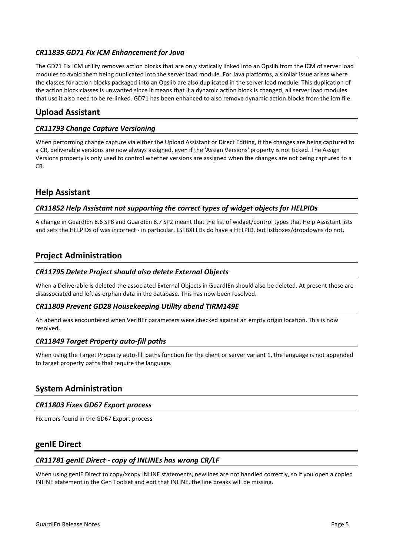# <span id="page-4-0"></span>*CR11835 GD71 Fix ICM Enhancement for Java*

The GD71 Fix ICM utility removes action blocks that are only statically linked into an Opslib from the ICM of server load modules to avoid them being duplicated into the server load module. For Java platforms, a similar issue arises where the classes for action blocks packaged into an Opslib are also duplicated in the server load module. This duplication of the action block classes is unwanted since it means that if a dynamic action block is changed, all server load modules that use it also need to be re-linked. GD71 has been enhanced to also remove dynamic action blocks from the icm file.

# <span id="page-4-1"></span>**Upload Assistant**

# <span id="page-4-2"></span>*CR11793 Change Capture Versioning*

When performing change capture via either the Upload Assistant or Direct Editing, if the changes are being captured to a CR, deliverable versions are now always assigned, even if the 'Assign Versions' property is not ticked. The Assign Versions property is only used to control whether versions are assigned when the changes are not being captured to a CR.

# <span id="page-4-3"></span>**Help Assistant**

# <span id="page-4-4"></span>*CR11852 Help Assistant not supporting the correct types of widget objects for HELPIDs*

A change in GuardIEn 8.6 SP8 and GuardIEn 8.7 SP2 meant that the list of widget/control types that Help Assistant lists and sets the HELPIDs of was incorrect - in particular, LSTBXFLDs do have a HELPID, but listboxes/dropdowns do not.

# <span id="page-4-5"></span>**Project Administration**

# <span id="page-4-6"></span>*CR11795 Delete Project should also delete External Objects*

When a Deliverable is deleted the associated External Objects in GuardIEn should also be deleted. At present these are disassociated and left as orphan data in the database. This has now been resolved.

# <span id="page-4-7"></span>*CR11809 Prevent GD28 Housekeeping Utility abend TIRM149E*

An abend was encountered when VerifIEr parameters were checked against an empty origin location. This is now resolved.

# <span id="page-4-8"></span>*CR11849 Target Property auto-fill paths*

When using the Target Property auto-fill paths function for the client or server variant 1, the language is not appended to target property paths that require the language.

# <span id="page-4-9"></span>**System Administration**

# <span id="page-4-10"></span>*CR11803 Fixes GD67 Export process*

Fix errors found in the GD67 Export process

# <span id="page-4-11"></span>**genIE Direct**

# <span id="page-4-12"></span>*CR11781 genIE Direct - copy of INLINEs has wrong CR/LF*

When using genIE Direct to copy/xcopy INLINE statements, newlines are not handled correctly, so if you open a copied INLINE statement in the Gen Toolset and edit that INLINE, the line breaks will be missing.